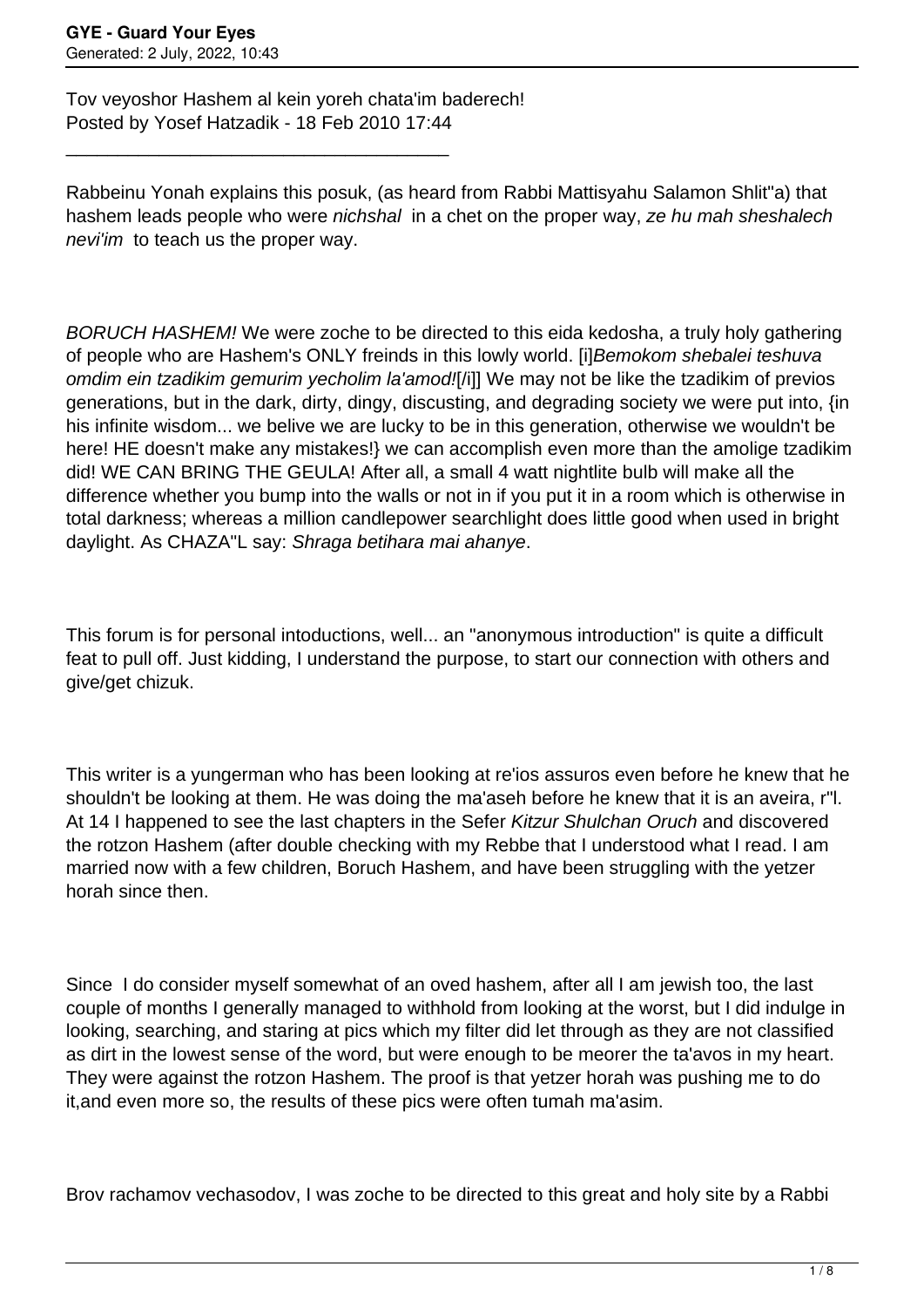Tov veyoshor Hashem al kein yoreh chata'im baderech! Posted by Yosef Hatzadik - 18 Feb 2010 17:44

\_\_\_\_\_\_\_\_\_\_\_\_\_\_\_\_\_\_\_\_\_\_\_\_\_\_\_\_\_\_\_\_\_\_\_\_\_

Rabbeinu Yonah explains this posuk, (as heard from Rabbi Mattisyahu Salamon Shlit"a) that hashem leads people who were *nichshal* in a chet on the proper way, ze hu mah sheshalech nevi'im to teach us the proper way.

BORUCH HASHEM! We were zoche to be directed to this eida kedosha, a truly holy gathering of people who are Hashem's ONLY freinds in this lowly world. [i]Bemokom shebalei teshuva omdim ein tzadikim gemurim yecholim la'amod![/i]] We may not be like the tzadikim of previos generations, but in the dark, dirty, dingy, discusting, and degrading society we were put into, {in his infinite wisdom... we belive we are lucky to be in this generation, otherwise we wouldn't be here! HE doesn't make any mistakes!} we can accomplish even more than the amolige tzadikim did! WE CAN BRING THE GEULA! After all, a small 4 watt nightlite bulb will make all the difference whether you bump into the walls or not in if you put it in a room which is otherwise in total darkness; whereas a million candlepower searchlight does little good when used in bright daylight. As CHAZA"L say: Shraga betihara mai ahanye.

This forum is for personal intoductions, well... an "anonymous introduction" is quite a difficult feat to pull off. Just kidding, I understand the purpose, to start our connection with others and give/get chizuk.

This writer is a yungerman who has been looking at re'ios assuros even before he knew that he shouldn't be looking at them. He was doing the ma'aseh before he knew that it is an aveira, r"l. At 14 I happened to see the last chapters in the Sefer Kitzur Shulchan Oruch and discovered the rotzon Hashem (after double checking with my Rebbe that I understood what I read. I am married now with a few children, Boruch Hashem, and have been struggling with the yetzer horah since then.

Since I do consider myself somewhat of an oved hashem, after all I am jewish too, the last couple of months I generally managed to withhold from looking at the worst, but I did indulge in looking, searching, and staring at pics which my filter did let through as they are not classified as dirt in the lowest sense of the word, but were enough to be meorer the ta'avos in my heart. They were against the rotzon Hashem. The proof is that yetzer horah was pushing me to do it,and even more so, the results of these pics were often tumah ma'asim.

Brov rachamov vechasodov, I was zoche to be directed to this great and holy site by a Rabbi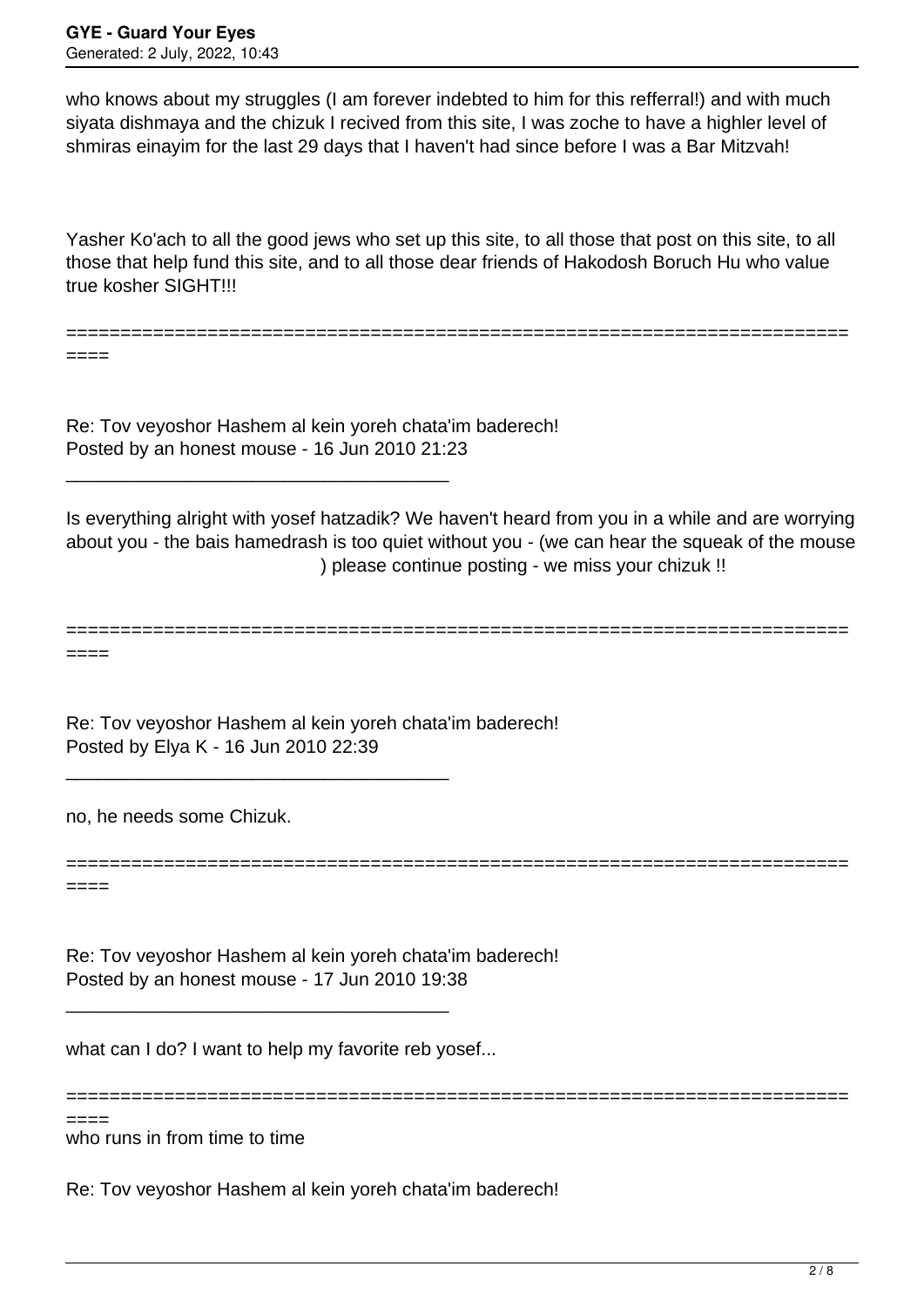who knows about my struggles (I am forever indebted to him for this refferral!) and with much siyata dishmaya and the chizuk I recived from this site, I was zoche to have a highler level of shmiras einayim for the last 29 days that I haven't had since before I was a Bar Mitzvah!

Yasher Ko'ach to all the good jews who set up this site, to all those that post on this site, to all those that help fund this site, and to all those dear friends of Hakodosh Boruch Hu who value true kosher SIGHT!!!

========================================================================

====

Re: Tov veyoshor Hashem al kein yoreh chata'im baderech! Posted by an honest mouse - 16 Jun 2010 21:23

\_\_\_\_\_\_\_\_\_\_\_\_\_\_\_\_\_\_\_\_\_\_\_\_\_\_\_\_\_\_\_\_\_\_\_\_\_

\_\_\_\_\_\_\_\_\_\_\_\_\_\_\_\_\_\_\_\_\_\_\_\_\_\_\_\_\_\_\_\_\_\_\_\_\_

Is everything alright with yosef hatzadik? We haven't heard from you in a while and are worrying about you - the bais hamedrash is too quiet without you - (we can hear the squeak of the mouse ) please continue posting - we miss your chizuk !!

======================================================================== ====

Re: Tov veyoshor Hashem al kein yoreh chata'im baderech! Posted by Elya K - 16 Jun 2010 22:39

no, he needs some Chizuk.

======================================================================== ====

Re: Tov veyoshor Hashem al kein yoreh chata'im baderech! Posted by an honest mouse - 17 Jun 2010 19:38

what can I do? I want to help my favorite reb yosef...

\_\_\_\_\_\_\_\_\_\_\_\_\_\_\_\_\_\_\_\_\_\_\_\_\_\_\_\_\_\_\_\_\_\_\_\_\_

========================================================================

who runs in from time to time ====

Re: Tov veyoshor Hashem al kein yoreh chata'im baderech!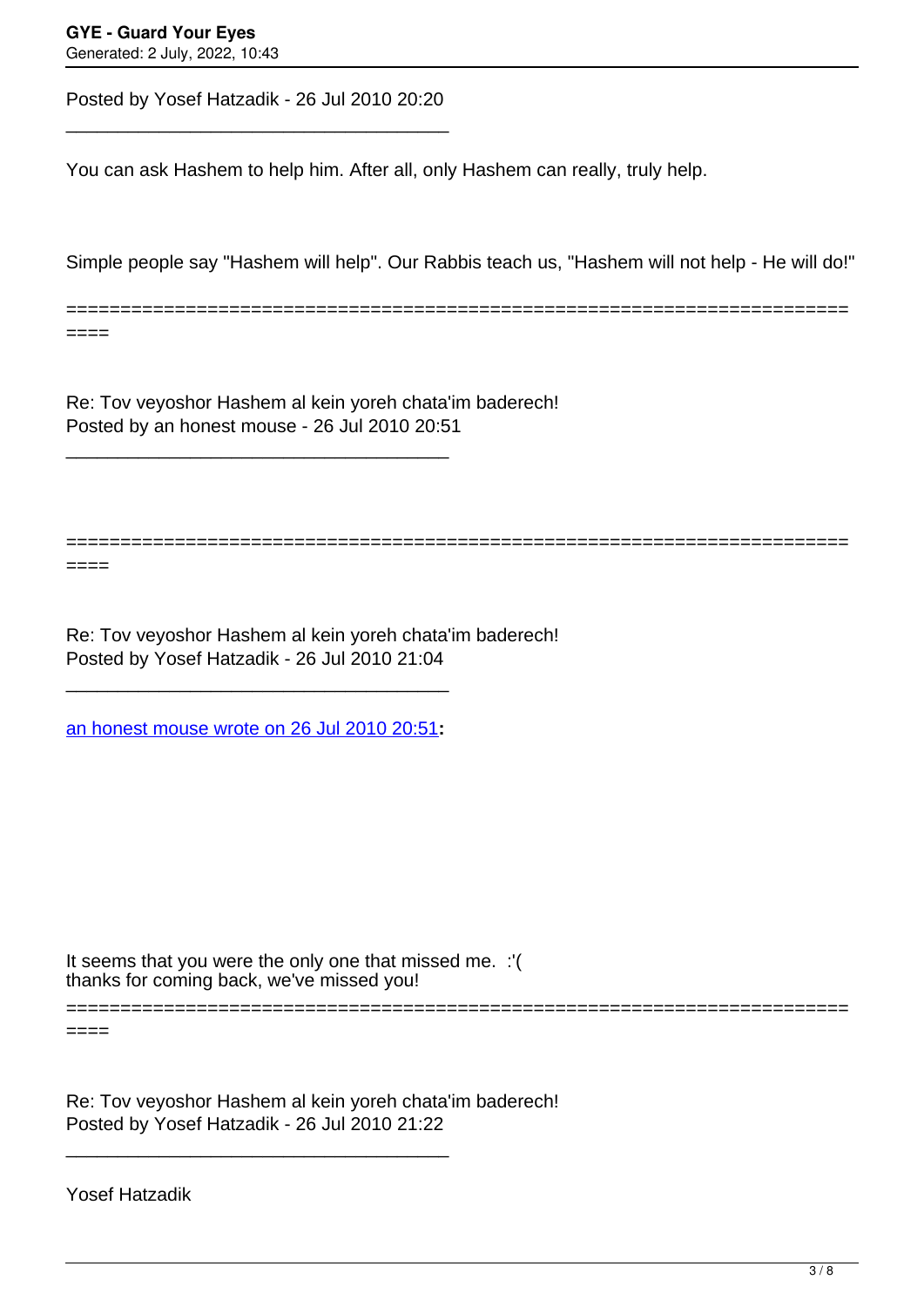====

====

Posted by Yosef Hatzadik - 26 Jul 2010 20:20 \_\_\_\_\_\_\_\_\_\_\_\_\_\_\_\_\_\_\_\_\_\_\_\_\_\_\_\_\_\_\_\_\_\_\_\_\_

You can ask Hashem to help him. After all, only Hashem can really, truly help.

Simple people say "Hashem will help". Our Rabbis teach us, "Hashem will not help - He will do!"

========================================================================

========================================================================

Re: Tov veyoshor Hashem al kein yoreh chata'im baderech! Posted by an honest mouse - 26 Jul 2010 20:51

Re: Tov veyoshor Hashem al kein yoreh chata'im baderech! Posted by Yosef Hatzadik - 26 Jul 2010 21:04

[an honest mouse wrote on 26 Jul 2010 20:51](/forum/id-)**:**

\_\_\_\_\_\_\_\_\_\_\_\_\_\_\_\_\_\_\_\_\_\_\_\_\_\_\_\_\_\_\_\_\_\_\_\_\_

\_\_\_\_\_\_\_\_\_\_\_\_\_\_\_\_\_\_\_\_\_\_\_\_\_\_\_\_\_\_\_\_\_\_\_\_\_

thanks for coming back, we've missed you! It seems that you were the only one that missed me. :'(

========================================================================

 $====$ 

Re: Tov veyoshor Hashem al kein yoreh chata'im baderech! Posted by Yosef Hatzadik - 26 Jul 2010 21:22

\_\_\_\_\_\_\_\_\_\_\_\_\_\_\_\_\_\_\_\_\_\_\_\_\_\_\_\_\_\_\_\_\_\_\_\_\_

Yosef Hatzadik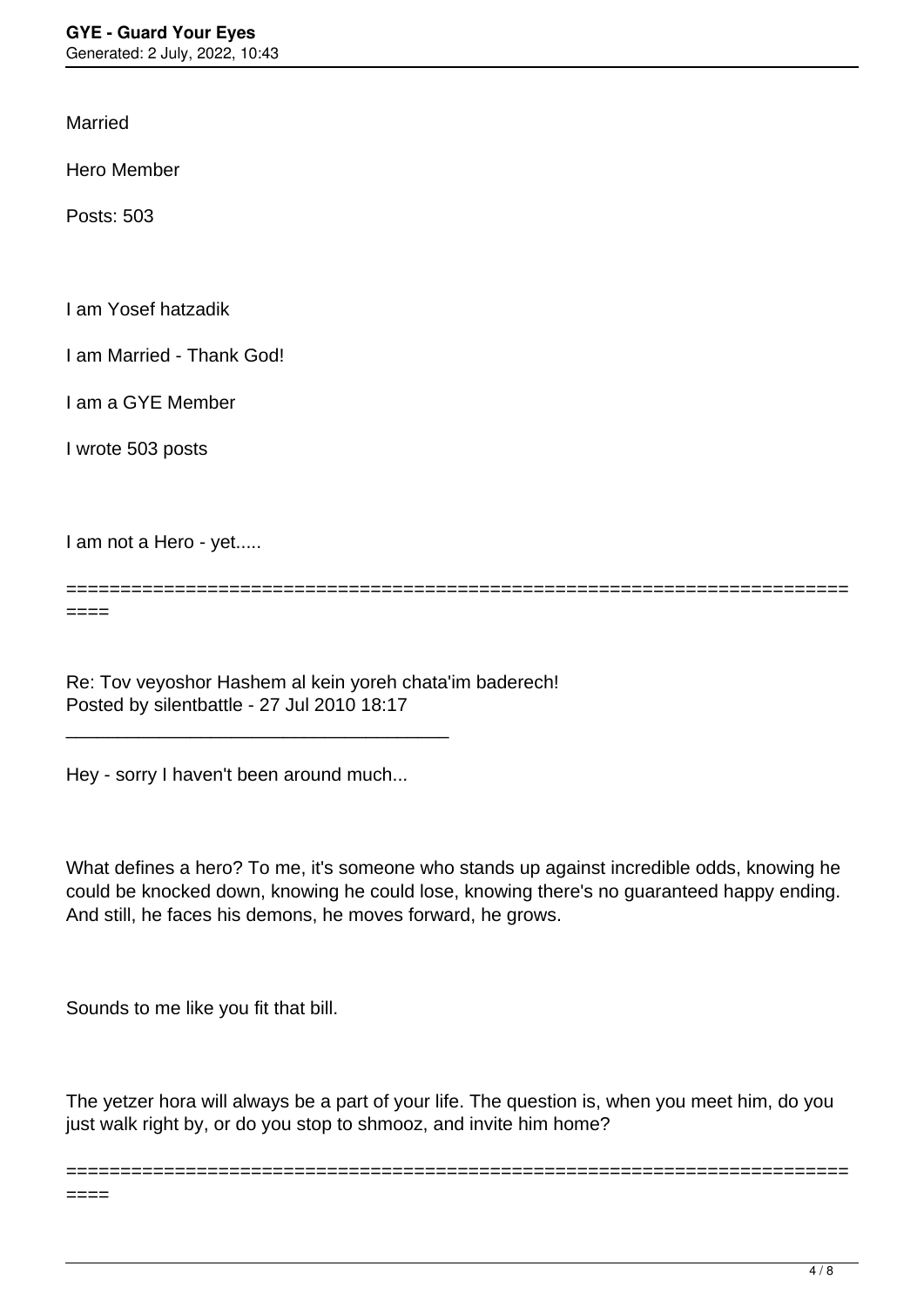Married

Hero Member

Posts: 503

I am Yosef hatzadik

I am Married - Thank God!

I am a GYE Member

I wrote 503 posts

====

I am not a Hero - yet.....

========================================================================

Re: Tov veyoshor Hashem al kein yoreh chata'im baderech! Posted by silentbattle - 27 Jul 2010 18:17

Hey - sorry I haven't been around much...

\_\_\_\_\_\_\_\_\_\_\_\_\_\_\_\_\_\_\_\_\_\_\_\_\_\_\_\_\_\_\_\_\_\_\_\_\_

What defines a hero? To me, it's someone who stands up against incredible odds, knowing he could be knocked down, knowing he could lose, knowing there's no guaranteed happy ending. And still, he faces his demons, he moves forward, he grows.

Sounds to me like you fit that bill.

The yetzer hora will always be a part of your life. The question is, when you meet him, do you just walk right by, or do you stop to shmooz, and invite him home?

========================================================================

 $====$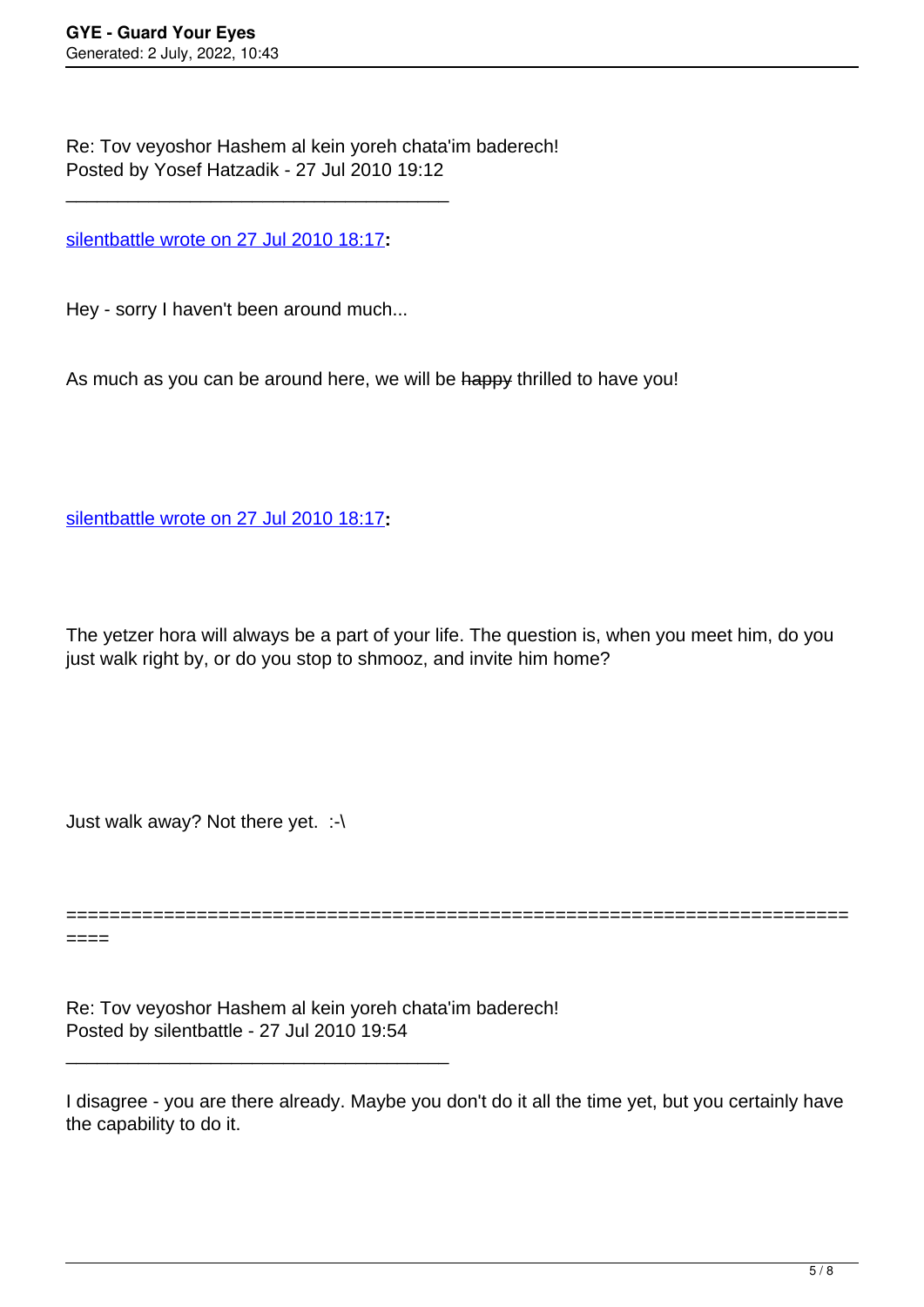Re: Tov veyoshor Hashem al kein yoreh chata'im baderech! Posted by Yosef Hatzadik - 27 Jul 2010 19:12

[silentbattle wrote on 27 Jul 2010 18:17](/forum/id-)**:**

\_\_\_\_\_\_\_\_\_\_\_\_\_\_\_\_\_\_\_\_\_\_\_\_\_\_\_\_\_\_\_\_\_\_\_\_\_

Hey - sorry I haven't been around much...

As much as you can be around here, we will be happy thrilled to have you!

[silentbattle wrote on 27 Jul 2010 18:17](/forum/id-)**:**

The yetzer hora will always be a part of your life. The question is, when you meet him, do you just walk right by, or do you stop to shmooz, and invite him home?

Just walk away? Not there yet. :-\

======================================================================== ====

Re: Tov veyoshor Hashem al kein yoreh chata'im baderech! Posted by silentbattle - 27 Jul 2010 19:54

\_\_\_\_\_\_\_\_\_\_\_\_\_\_\_\_\_\_\_\_\_\_\_\_\_\_\_\_\_\_\_\_\_\_\_\_\_

I disagree - you are there already. Maybe you don't do it all the time yet, but you certainly have the capability to do it.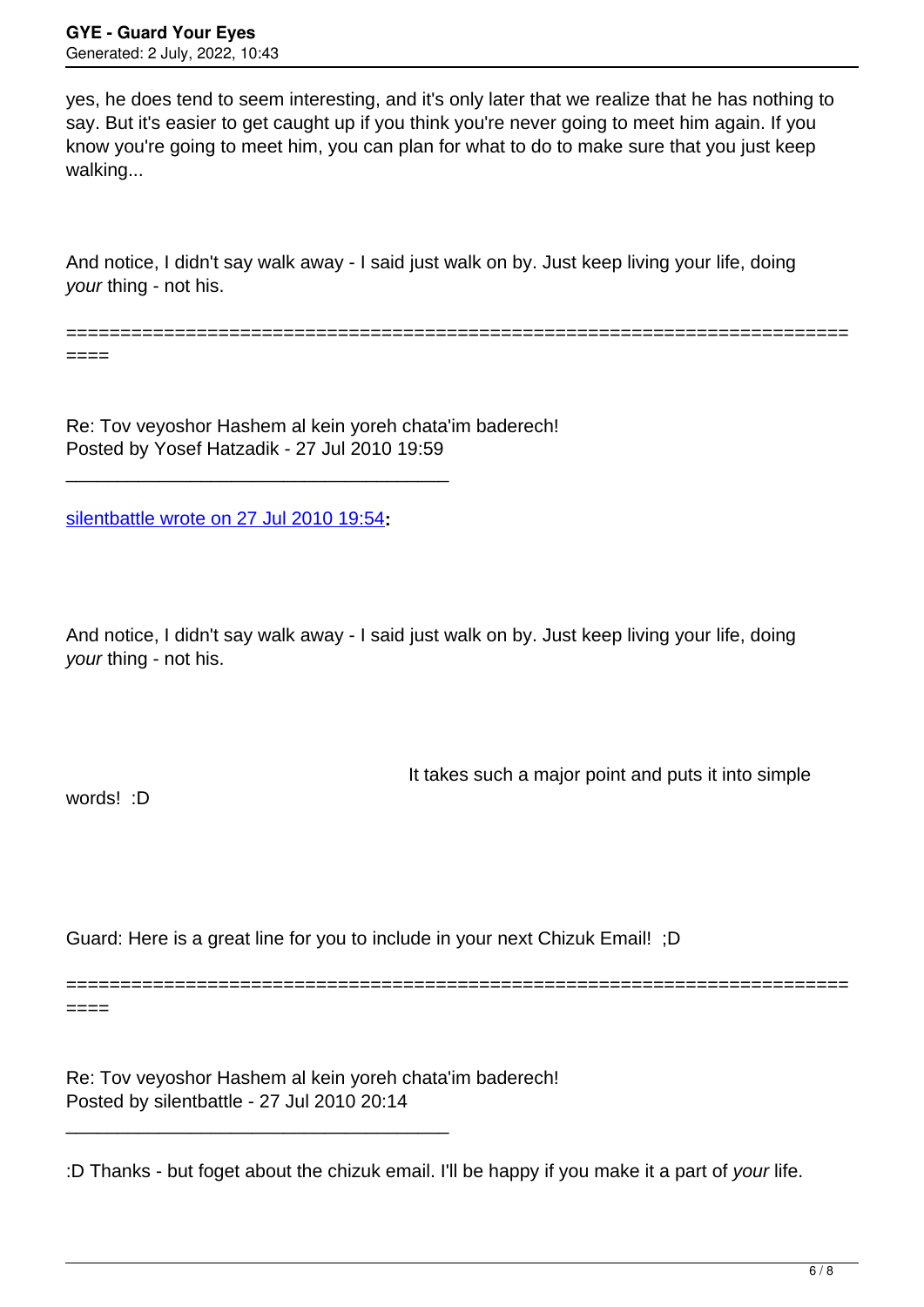yes, he does tend to seem interesting, and it's only later that we realize that he has nothing to say. But it's easier to get caught up if you think you're never going to meet him again. If you know you're going to meet him, you can plan for what to do to make sure that you just keep walking...

And notice, I didn't say walk away - I said just walk on by. Just keep living your life, doing your thing - not his.

========================================================================

====

Re: Tov veyoshor Hashem al kein yoreh chata'im baderech! Posted by Yosef Hatzadik - 27 Jul 2010 19:59

[silentbattle wrote on 27 Jul 2010 19:54](/forum/id-)**:**

\_\_\_\_\_\_\_\_\_\_\_\_\_\_\_\_\_\_\_\_\_\_\_\_\_\_\_\_\_\_\_\_\_\_\_\_\_

And notice, I didn't say walk away - I said just walk on by. Just keep living your life, doing your thing - not his.

It takes such a major point and puts it into simple

words! :D

Guard: Here is a great line for you to include in your next Chizuk Email! ;D

======================================================================== ====

Re: Tov veyoshor Hashem al kein yoreh chata'im baderech! Posted by silentbattle - 27 Jul 2010 20:14

\_\_\_\_\_\_\_\_\_\_\_\_\_\_\_\_\_\_\_\_\_\_\_\_\_\_\_\_\_\_\_\_\_\_\_\_\_

:D Thanks - but foget about the chizuk email. I'll be happy if you make it a part of your life.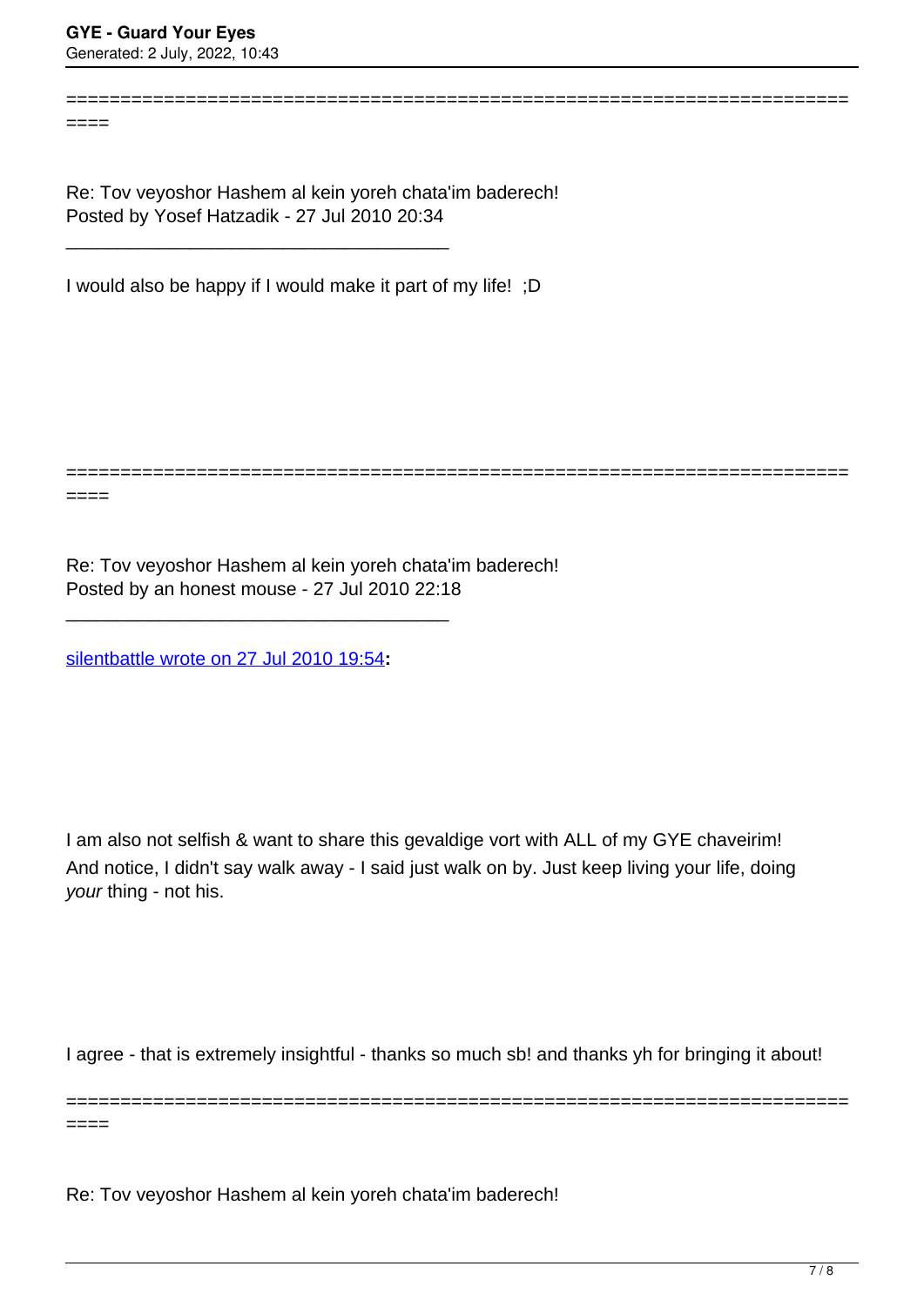$=$ 

Re: Tov veyoshor Hashem al kein yoreh chata'im baderech! Posted by Yosef Hatzadik - 27 Jul 2010 20:34

I would also be happy if I would make it part of my life! ;D

\_\_\_\_\_\_\_\_\_\_\_\_\_\_\_\_\_\_\_\_\_\_\_\_\_\_\_\_\_\_\_\_\_\_\_\_\_

========================================================================

========================================================================

====

Re: Tov veyoshor Hashem al kein yoreh chata'im baderech! Posted by an honest mouse - 27 Jul 2010 22:18

[silentbattle wrote on 27 Jul 2010 19:54](/forum/id-)**:**

\_\_\_\_\_\_\_\_\_\_\_\_\_\_\_\_\_\_\_\_\_\_\_\_\_\_\_\_\_\_\_\_\_\_\_\_\_

I am also not selfish & want to share this gevaldige vort with ALL of my GYE chaveirim! And notice, I didn't say walk away - I said just walk on by. Just keep living your life, doing your thing - not his.

I agree - that is extremely insightful - thanks so much sb! and thanks yh for bringing it about!

========================================================================

 $====$ 

Re: Tov veyoshor Hashem al kein yoreh chata'im baderech!